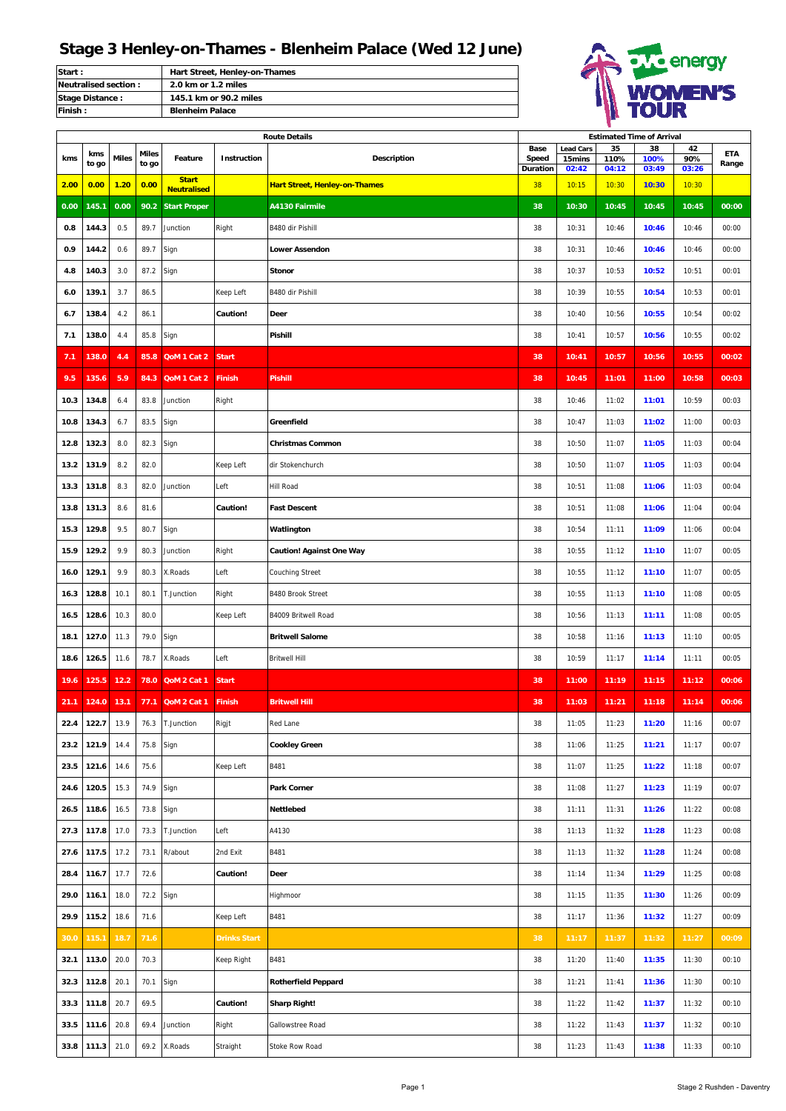| <b>Start:</b>        | Hart Street, Henley-on-Thames |
|----------------------|-------------------------------|
| Neutralised section: | 2.0 km or 1.2 miles           |
| Stage Distance:      | 145.1 km or 90.2 miles        |
| <b>Finish:</b>       | <b>Blenheim Palace</b>        |



|      |       |              |              |                                    |                     | <b>Route Details</b>                 |               | <b>Estimated Time of Arrival</b> |            |            |           |            |  |  |  |
|------|-------|--------------|--------------|------------------------------------|---------------------|--------------------------------------|---------------|----------------------------------|------------|------------|-----------|------------|--|--|--|
| kms  | kms   | <b>Miles</b> | <b>Miles</b> | Feature                            | Instruction         | <b>Description</b>                   | Base<br>Speed | <b>Lead Cars</b><br>15mins       | 35<br>110% | 38<br>100% | 42<br>90% | <b>ETA</b> |  |  |  |
|      | to go |              | to go        |                                    |                     |                                      | Duration      | 02:42                            | 04:12      | 03:49      | 03:26     | Range      |  |  |  |
| 2.00 | 0.00  | 1.20         | 0.00         | <b>Start</b><br><b>Neutralised</b> |                     | <b>Hart Street, Henley-on-Thames</b> | 38            | 10:15                            | 10:30      | 10:30      | 10:30     |            |  |  |  |
| 0.00 | 145.1 | 0.00         |              | 90.2 Start Proper                  |                     | A4130 Fairmile                       | 38            | 10:30                            | 10:45      | 10:45      | 10:45     | 00:00      |  |  |  |
| 0.8  | 144.3 | 0.5          | 89.7         | Junction                           | Right               | B480 dir Pishill                     | 38            | 10:31                            | 10:46      | 10:46      | 10:46     | 00:00      |  |  |  |
| 0.9  | 144.2 | 0.6          | 89.7         | Sign                               |                     | <b>Lower Assendon</b>                | 38            | 10:31                            | 10:46      | 10:46      | 10:46     | 00:00      |  |  |  |
| 4.8  | 140.3 | 3.0          | 87.2         | Sign                               |                     | <b>Stonor</b>                        | 38            | 10:37                            | 10:53      | 10:52      | 10:51     | 00:01      |  |  |  |
| 6.0  | 139.1 | 3.7          | 86.5         |                                    | Keep Left           | B480 dir Pishill                     | 38            | 10:39                            | 10:55      | 10:54      | 10:53     | 00:01      |  |  |  |
| 6.7  | 138.4 | 4.2          | 86.1         |                                    | Caution!            | Deer                                 | 38            | 10:40                            | 10:56      | 10:55      | 10:54     | 00:02      |  |  |  |
| 7.1  | 138.0 | 4.4          | 85.8         | Sign                               |                     | Pishill                              | 38            | 10:41                            | 10:57      | 10:56      | 10:55     | 00:02      |  |  |  |
| 7.1  | 138.0 | 4.4          | 85.8         | QoM 1 Cat 2                        | <b>Start</b>        |                                      | 38            | 10:41                            | 10:57      | 10:56      | 10:55     | 00:02      |  |  |  |
| 9.5  | 135.6 | 5.9          | 84.3         | QoM 1 Cat 2                        | <b>Finish</b>       | <b>Pishill</b>                       | 38            | 10:45                            | 11:01      | 11:00      | 10:58     | 00:03      |  |  |  |
| 10.3 | 134.8 | 6.4          | 83.8         | Junction                           | Right               |                                      | 38            | 10:46                            | 11:02      | 11:01      | 10:59     | 00:03      |  |  |  |
| 10.8 | 134.3 | 6.7          | 83.5         | Sign                               |                     | Greenfield                           | 38            | 10:47                            | 11:03      | 11:02      | 11:00     | 00:03      |  |  |  |
| 12.8 | 132.3 | 8.0          | 82.3         | Sign                               |                     | <b>Christmas Common</b>              | 38            | 10:50                            | 11:07      | 11:05      | 11:03     | 00:04      |  |  |  |
| 13.2 | 131.9 | 8.2          | 82.0         |                                    | Keep Left           | dir Stokenchurch                     | 38            | 10:50                            | 11:07      | 11:05      | 11:03     | 00:04      |  |  |  |
| 13.3 | 131.8 | 8.3          | 82.0         | Junction                           | Left                | Hill Road                            | 38            | 10:51                            | 11:08      | 11:06      | 11:03     | 00:04      |  |  |  |
| 13.8 | 131.3 | 8.6          | 81.6         |                                    | Caution!            | <b>Fast Descent</b>                  | 38            | 10:51                            | 11:08      | 11:06      | 11:04     | 00:04      |  |  |  |
| 15.3 | 129.8 | 9.5          | 80.7         | Sign                               |                     | Watlington                           | 38            | 10:54                            | 11:11      | 11:09      | 11:06     | 00:04      |  |  |  |
| 15.9 | 129.2 | 9.9          | 80.3         | Junction                           | Right               | <b>Caution! Against One Way</b>      | 38            | 10:55                            | 11:12      | 11:10      | 11:07     | 00:05      |  |  |  |
| 16.0 | 129.1 | 9.9          | 80.3         | X.Roads                            | Left                | <b>Couching Street</b>               | 38            | 10:55                            | 11:12      | 11:10      | 11:07     | 00:05      |  |  |  |
| 16.3 | 128.8 | 10.1         | 80.1         | T.Junction                         | Right               | B480 Brook Street                    | 38            | 10:55                            | 11:13      | 11:10      | 11:08     | 00:05      |  |  |  |
| 16.5 | 128.6 | 10.3         | 80.0         |                                    | Keep Left           | B4009 Britwell Road                  | 38            | 10:56                            | 11:13      | 11:11      | 11:08     | 00:05      |  |  |  |
| 18.1 | 127.0 | 11.3         | 79.0         | Sign                               |                     | <b>Britwell Salome</b>               | 38            | 10:58                            | 11:16      | 11:13      | 11:10     | 00:05      |  |  |  |
| 18.6 | 126.5 | 11.6         | 78.7         | X.Roads                            | Left                | <b>Britwell Hill</b>                 | 38            | 10:59                            | 11:17      | 11:14      | 11:11     | 00:05      |  |  |  |
| 19.6 | 125.5 | 12.2         | 78.0         | QoM 2 Cat 1                        | <b>Start</b>        |                                      | 38            | 11:00                            | 11:19      | 11:15      | 11:12     | 00:06      |  |  |  |
| 21.1 | 124.0 | 13.1         | 77.1         | QoM 2 Cat 1                        | <b>Finish</b>       | <b>Britwell Hill</b>                 | 38            | 11:03                            | 11:21      | 11:18      | 11:14     | 00:06      |  |  |  |
| 22.4 | 122.7 | 13.9         | 76.3         | T.Junction                         | Rigjt               | Red Lane                             | 38            | 11:05                            | 11:23      | 11:20      | 11:16     | 00:07      |  |  |  |
| 23.2 | 121.9 | 14.4         | 75.8         | Sign                               |                     | <b>Cookley Green</b>                 | 38            | 11:06                            | 11:25      | 11:21      | 11:17     | 00:07      |  |  |  |
| 23.5 | 121.6 | 14.6         | 75.6         |                                    | Keep Left           | B481                                 | 38            | 11:07                            | 11:25      | 11:22      | 11:18     | 00:07      |  |  |  |
| 24.6 | 120.5 | 15.3         | 74.9         | Sign                               |                     | Park Corner                          | 38            | 11:08                            | 11:27      | 11:23      | 11:19     | 00:07      |  |  |  |
| 26.5 | 118.6 | 16.5         | 73.8         | Sign                               |                     | Nettlebed                            | 38            | 11:11                            | 11:31      | 11:26      | 11:22     | 00:08      |  |  |  |
| 27.3 | 117.8 | 17.0         | 73.3         | T.Junction                         | Left                | A4130                                | 38            | 11:13                            | 11:32      | 11:28      | 11:23     | 00:08      |  |  |  |
| 27.6 | 117.5 | 17.2         | 73.1         | R/about                            | 2nd Exit            | B481                                 | 38            | 11:13                            | 11:32      | 11:28      | 11:24     | 00:08      |  |  |  |
| 28.4 | 116.7 | 17.7         | 72.6         |                                    | Caution!            | Deer                                 | 38            | 11:14                            | 11:34      | 11:29      | 11:25     | 00:08      |  |  |  |
| 29.0 | 116.1 | 18.0         | 72.2         | Sign                               |                     | Highmoor                             | 38            | 11:15                            | 11:35      | 11:30      | 11:26     | 00:09      |  |  |  |
| 29.9 | 115.2 | 18.6         | 71.6         |                                    | Keep Left           | B481                                 | 38            | 11:17                            | 11:36      | 11:32      | 11:27     | 00:09      |  |  |  |
| 30.0 | 115.1 | 18.7         | 71.6         |                                    | <b>Drinks Start</b> |                                      | 38            | 11:17                            | 11:37      | 11:32      | 11:27     | 00:09      |  |  |  |
| 32.1 | 113.0 | 20.0         | 70.3         |                                    | Keep Right          | B481                                 | 38            | 11:20                            | 11:40      | 11:35      | 11:30     | 00:10      |  |  |  |
| 32.3 | 112.8 | 20.1         | 70.1         | Sign                               |                     | <b>Rotherfield Peppard</b>           | 38            | 11:21                            | 11:41      | 11:36      | 11:30     | 00:10      |  |  |  |
| 33.3 | 111.8 | 20.7         | 69.5         |                                    | Caution!            | <b>Sharp Right!</b>                  | 38            | 11:22                            | 11:42      | 11:37      | 11:32     | 00:10      |  |  |  |
| 33.5 | 111.6 | 20.8         | 69.4         | Junction                           | Right               | Gallowstree Road                     | 38            | 11:22                            | 11:43      | 11:37      | 11:32     | 00:10      |  |  |  |
| 33.8 | 111.3 | 21.0         | 69.2         | X.Roads                            | Straight            | Stoke Row Road                       | 38            | 11:23                            | 11:43      | 11:38      | 11:33     | 00:10      |  |  |  |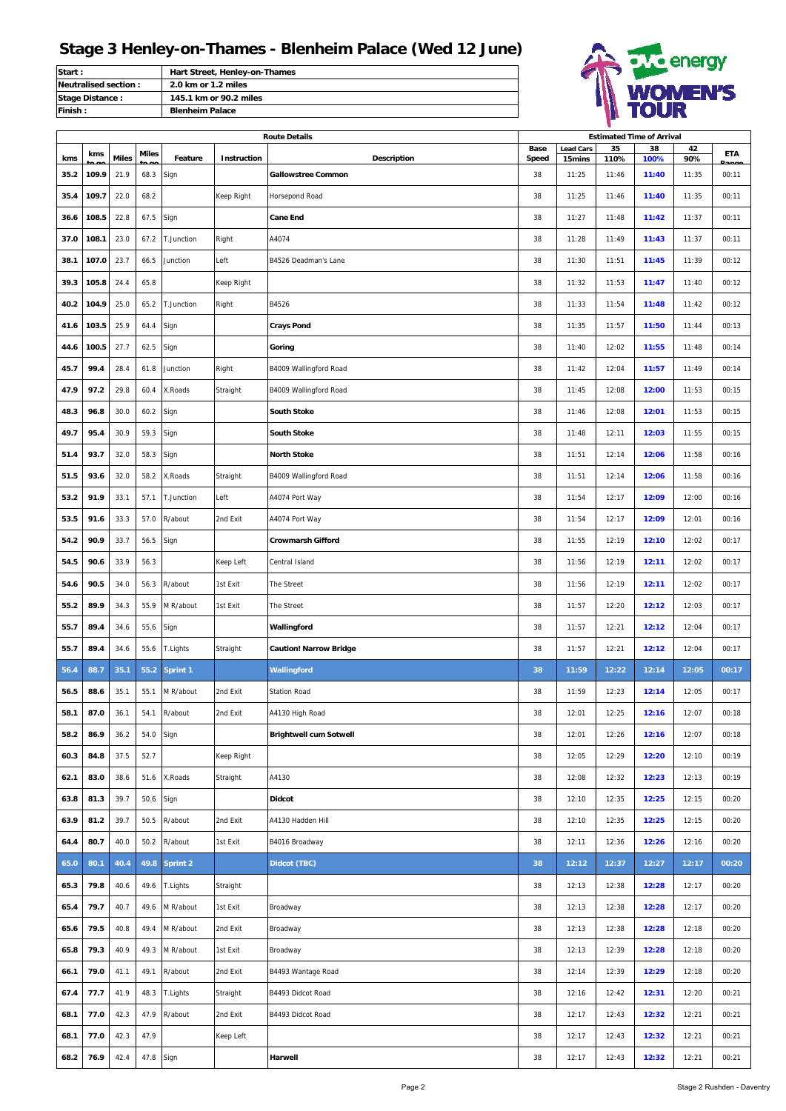| <b>Start:</b>          | Hart Street, Henley-on-Thames |
|------------------------|-------------------------------|
| Neutralised section:   | 2.0 km or 1.2 miles           |
| <b>Stage Distance:</b> | 145.1 km or 90.2 miles        |
| <b>IFinish:</b>        | <b>Blenheim Palace</b>        |



|      | <b>Route Details</b> |              |       |               |             |                               | <b>Estimated Time of Arrival</b> |                            |            |            |           |            |  |
|------|----------------------|--------------|-------|---------------|-------------|-------------------------------|----------------------------------|----------------------------|------------|------------|-----------|------------|--|
| kms  | kms                  | <b>Miles</b> | Miles | Feature       | Instruction | <b>Description</b>            | Base<br>Speed                    | <b>Lead Cars</b><br>15mins | 35<br>110% | 38<br>100% | 42<br>90% | <b>ETA</b> |  |
| 35.2 | 109.9                | 21.9         | 68.3  | Sign          |             | <b>Gallowstree Common</b>     | 38                               | 11:25                      | 11:46      | 11:40      | 11:35     | 00:11      |  |
| 35.4 | 109.7                | 22.0         | 68.2  |               | Keep Right  | Horsepond Road                | 38                               | 11:25                      | 11:46      | 11:40      | 11:35     | 00:11      |  |
| 36.6 | 108.5                | 22.8         | 67.5  | Sign          |             | <b>Cane End</b>               | 38                               | 11:27                      | 11:48      | 11:42      | 11:37     | 00:11      |  |
| 37.0 | 108.1                | 23.0         | 67.2  | T.Junction    | Right       | A4074                         | 38                               | 11:28                      | 11:49      | 11:43      | 11:37     | 00:11      |  |
| 38.1 | 107.0                | 23.7         | 66.5  | Junction      | Left        | B4526 Deadman's Lane          | 38                               | 11:30                      | 11:51      | 11:45      | 11:39     | 00:12      |  |
| 39.3 | 105.8                | 24.4         | 65.8  |               | Keep Right  |                               | 38                               | 11:32                      | 11:53      | 11:47      | 11:40     | 00:12      |  |
| 40.2 | 104.9                | 25.0         | 65.2  | T.Junction    | Right       | B4526                         | 38                               | 11:33                      | 11:54      | 11:48      | 11:42     | 00:12      |  |
| 41.6 | 103.5                | 25.9         | 64.4  | Sign          |             | <b>Crays Pond</b>             | 38                               | 11:35                      | 11:57      | 11:50      | 11:44     | 00:13      |  |
| 44.6 | 100.5                | 27.7         | 62.5  | Sign          |             | Goring                        | 38                               | 11:40                      | 12:02      | 11:55      | 11:48     | 00:14      |  |
| 45.7 | 99.4                 | 28.4         | 61.8  | Junction      | Right       | B4009 Wallingford Road        | 38                               | 11:42                      | 12:04      | 11:57      | 11:49     | 00:14      |  |
| 47.9 | 97.2                 | 29.8         | 60.4  | X.Roads       | Straight    | B4009 Wallingford Road        | 38                               | 11:45                      | 12:08      | 12:00      | 11:53     | 00:15      |  |
| 48.3 | 96.8                 | 30.0         | 60.2  | Sign          |             | <b>South Stoke</b>            | 38                               | 11:46                      | 12:08      | 12:01      | 11:53     | 00:15      |  |
| 49.7 | 95.4                 | 30.9         | 59.3  | Sign          |             | <b>South Stoke</b>            | 38                               | 11:48                      | 12:11      | 12:03      | 11:55     | 00:15      |  |
| 51.4 | 93.7                 | 32.0         | 58.3  | Sign          |             | <b>North Stoke</b>            | 38                               | 11:51                      | 12:14      | 12:06      | 11:58     | 00:16      |  |
| 51.5 | 93.6                 | 32.0         | 58.2  | X.Roads       | Straight    | B4009 Wallingford Road        | 38                               | 11:51                      | 12:14      | 12:06      | 11:58     | 00:16      |  |
| 53.2 | 91.9                 | 33.1         | 57.1  | T.Junction    | Left        | A4074 Port Way                | 38                               | 11:54                      | 12:17      | 12:09      | 12:00     | 00:16      |  |
| 53.5 | 91.6                 | 33.3         | 57.0  | R/about       | 2nd Exit    | A4074 Port Way                | 38                               | 11:54                      | 12:17      | 12:09      | 12:01     | 00:16      |  |
| 54.2 | 90.9                 | 33.7         | 56.5  | Sign          |             | <b>Crowmarsh Gifford</b>      | 38                               | 11:55                      | 12:19      | 12:10      | 12:02     | 00:17      |  |
| 54.5 | 90.6                 | 33.9         | 56.3  |               | Keep Left   | Central Island                | 38                               | 11:56                      | 12:19      | 12:11      | 12:02     | 00:17      |  |
| 54.6 | 90.5                 | 34.0         | 56.3  | R/about       | 1st Exit    | The Street                    | 38                               | 11:56                      | 12:19      | 12:11      | 12:02     | 00:17      |  |
| 55.2 | 89.9                 | 34.3         | 55.9  | M R/about     | 1st Exit    | The Street                    | 38                               | 11:57                      | 12:20      | 12:12      | 12:03     | 00:17      |  |
| 55.7 | 89.4                 | 34.6         | 55.6  | Sign          |             | Wallingford                   | 38                               | 11:57                      | 12:21      | 12:12      | 12:04     | 00:17      |  |
| 55.7 | 89.4                 | 34.6         | 55.6  | T.Lights      | Straight    | <b>Caution! Narrow Bridge</b> | 38                               | 11:57                      | 12:21      | 12:12      | 12:04     | 00:17      |  |
| 56.4 | 88.7                 | 35.1         | 55.2  | Sprint 1      |             | Wallingford                   | 38                               | 11:59                      | 12:22      | 12:14      | 12:05     | 00:17      |  |
| 56.5 | 88.6                 | 35.1         | 55.1  | M R/about     | 2nd Exit    | <b>Station Road</b>           | 38                               | 11:59                      | 12:23      | 12:14      | 12:05     | 00:17      |  |
| 58.1 | 87.0                 | 36.1         | 54.1  | R/about       | 2nd Exit    | A4130 High Road               | 38                               | 12:01                      | 12:25      | 12:16      | 12:07     | 00:18      |  |
| 58.2 | 86.9                 | 36.2         | 54.0  | Sign          |             | <b>Brightwell cum Sotwell</b> | 38                               | 12:01                      | 12:26      | 12:16      | 12:07     | 00:18      |  |
| 60.3 | 84.8                 | 37.5         | 52.7  |               | Keep Right  |                               | 38                               | 12:05                      | 12:29      | 12:20      | 12:10     | 00:19      |  |
| 62.1 | 83.0                 | 38.6         | 51.6  | X.Roads       | Straight    | A4130                         | 38                               | 12:08                      | 12:32      | 12:23      | 12:13     | 00:19      |  |
| 63.8 | 81.3                 | 39.7         | 50.6  | Sign          |             | <b>Didcot</b>                 | 38                               | 12:10                      | 12:35      | 12:25      | 12:15     | 00:20      |  |
| 63.9 | 81.2                 | 39.7         | 50.5  | R/about       | 2nd Exit    | A4130 Hadden Hill             | 38                               | 12:10                      | 12:35      | 12:25      | 12:15     | 00:20      |  |
| 64.4 | 80.7                 | 40.0         | 50.2  | R/about       | 1st Exit    | B4016 Broadway                | 38                               | 12:11                      | 12:36      | 12:26      | 12:16     | 00:20      |  |
| 65.0 | 80.1                 | 40.4         |       | 49.8 Sprint 2 |             | Didcot (TBC)                  | 38                               | 12:12                      | 12:37      | 12:27      | 12:17     | 00:20      |  |
| 65.3 | 79.8                 | 40.6         | 49.6  | T.Lights      | Straight    |                               | 38                               | 12:13                      | 12:38      | 12:28      | 12:17     | 00:20      |  |
| 65.4 | 79.7                 | 40.7         | 49.6  | M R/about     | 1st Exit    | Broadway                      | 38                               | 12:13                      | 12:38      | 12:28      | 12:17     | 00:20      |  |
| 65.6 | 79.5                 | 40.8         | 49.4  | M R/about     | 2nd Exit    | Broadway                      | 38                               | 12:13                      | 12:38      | 12:28      | 12:18     | 00:20      |  |
| 65.8 | 79.3                 | 40.9         | 49.3  | M R/about     | 1st Exit    | Broadway                      | 38                               | 12:13                      | 12:39      | 12:28      | 12:18     | 00:20      |  |
| 66.1 | 79.0                 | 41.1         | 49.1  | R/about       | 2nd Exit    | B4493 Wantage Road            | 38                               | 12:14                      | 12:39      | 12:29      | 12:18     | 00:20      |  |
| 67.4 | 77.7                 | 41.9         | 48.3  | T.Lights      | Straight    | B4493 Didcot Road             | 38                               | 12:16                      | 12:42      | 12:31      | 12:20     | 00:21      |  |
| 68.1 | 77.0                 | 42.3         | 47.9  | R/about       | 2nd Exit    | B4493 Didcot Road             | 38                               | 12:17                      | 12:43      | 12:32      | 12:21     | 00:21      |  |
| 68.1 | 77.0                 | 42.3         | 47.9  |               | Keep Left   |                               | 38                               | 12:17                      | 12:43      | 12:32      | 12:21     | 00:21      |  |
| 68.2 | 76.9                 | 42.4         | 47.8  | Sign          |             | Harwell                       | 38                               | 12:17                      | 12:43      | 12:32      | 12:21     | 00:21      |  |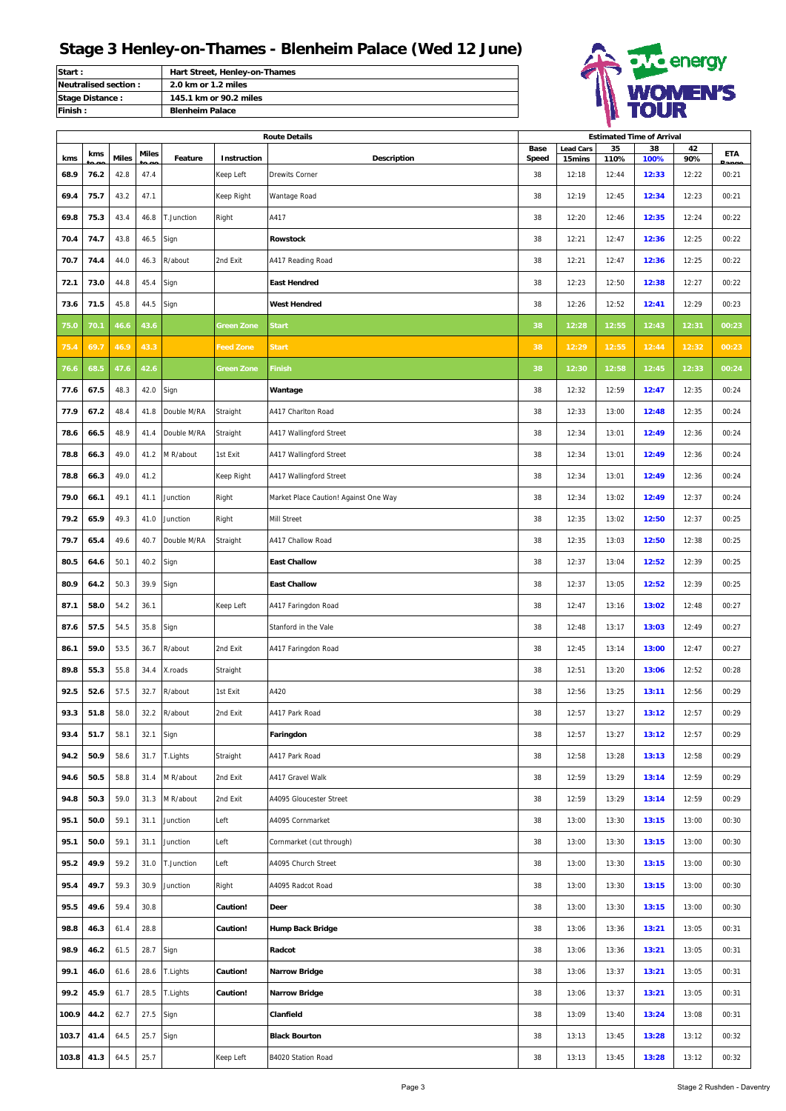| <b>Start:</b>          | Hart Street, Henley-on-Thames |
|------------------------|-------------------------------|
| Neutralised section:   | 2.0 km or 1.2 miles           |
| <b>Stage Distance:</b> | 145.1 km or 90.2 miles        |
| Finish:                | <b>Blenheim Palace</b>        |



|       | <b>Route Details</b> |              |       |              |                   |                                       | <b>Estimated Time of Arrival</b> |                            |            |            |           |       |  |  |
|-------|----------------------|--------------|-------|--------------|-------------------|---------------------------------------|----------------------------------|----------------------------|------------|------------|-----------|-------|--|--|
| kms   | kms                  | <b>Miles</b> | Miles | Feature      | Instruction       | Description                           | Base<br><b>Speed</b>             | <b>Lead Cars</b><br>15mins | 35<br>110% | 38<br>100% | 42<br>90% | ETA   |  |  |
| 68.9  | 76.2                 | 42.8         | 47.4  |              | Keep Left         | <b>Drewits Corner</b>                 | 38                               | 12:18                      | 12:44      | 12:33      | 12:22     | 00:21 |  |  |
| 69.4  | 75.7                 | 43.2         | 47.1  |              | Keep Right        | Wantage Road                          | 38                               | 12:19                      | 12:45      | 12:34      | 12:23     | 00:21 |  |  |
| 69.8  | 75.3                 | 43.4         | 46.8  | T.Junction   | Right             | A417                                  | 38                               | 12:20                      | 12:46      | 12:35      | 12:24     | 00:22 |  |  |
| 70.4  | 74.7                 | 43.8         | 46.5  | Sign         |                   | <b>Rowstock</b>                       | 38                               | 12:21                      | 12:47      | 12:36      | 12:25     | 00:22 |  |  |
| 70.7  | 74.4                 | 44.0         | 46.3  | R/about      | 2nd Exit          | A417 Reading Road                     | 38                               | 12:21                      | 12:47      | 12:36      | 12:25     | 00:22 |  |  |
| 72.1  | 73.0                 | 44.8         | 45.4  | Sign         |                   | <b>East Hendred</b>                   | 38                               | 12:23                      | 12:50      | 12:38      | 12:27     | 00:22 |  |  |
| 73.6  | 71.5                 | 45.8         | 44.5  | Sign         |                   | <b>West Hendred</b>                   | 38                               | 12:26                      | 12:52      | 12:41      | 12:29     | 00:23 |  |  |
| 75.0  | 70.1                 | 46.6         | 43.6  |              | Green Zone        | Start                                 | 38                               | 12:28                      | 12:55      | 12:43      | 12:31     | 00:23 |  |  |
| 75.4  | 69.7                 | 46.9         | 43.3  |              | <b>Feed Zone</b>  | <b>Start</b>                          | 38                               | 12:29                      | 12:55      | 12:44      | 12:32     | 00:23 |  |  |
| 76.6  | 68.5                 | 47.6         | 42.6  |              | <b>Green Zone</b> | <b>Finish</b>                         | 38                               | 12:30                      | 12:58      | 12:45      | 12:33     | 00:24 |  |  |
| 77.6  | 67.5                 | 48.3         | 42.0  | Sign         |                   | Wantage                               | 38                               | 12:32                      | 12:59      | 12:47      | 12:35     | 00:24 |  |  |
| 77.9  | 67.2                 | 48.4         | 41.8  | Double M/RA  | Straight          | A417 Charlton Road                    | 38                               | 12:33                      | 13:00      | 12:48      | 12:35     | 00:24 |  |  |
| 78.6  | 66.5                 | 48.9         | 41.4  | Double M/RA  | Straight          | A417 Wallingford Street               | 38                               | 12:34                      | 13:01      | 12:49      | 12:36     | 00:24 |  |  |
| 78.8  | 66.3                 | 49.0         | 41.2  | M R/about    | 1st Exit          | A417 Wallingford Street               | 38                               | 12:34                      | 13:01      | 12:49      | 12:36     | 00:24 |  |  |
| 78.8  | 66.3                 | 49.0         | 41.2  |              | Keep Right        | A417 Wallingford Street               | 38                               | 12:34                      | 13:01      | 12:49      | 12:36     | 00:24 |  |  |
| 79.0  | 66.1                 | 49.1         | 41.1  | Junction     | Right             | Market Place Caution! Against One Way | 38                               | 12:34                      | 13:02      | 12:49      | 12:37     | 00:24 |  |  |
| 79.2  | 65.9                 | 49.3         | 41.0  | Junction     | Right             | Mill Street                           | 38                               | 12:35                      | 13:02      | 12:50      | 12:37     | 00:25 |  |  |
| 79.7  | 65.4                 | 49.6         | 40.7  | Double M/RA  | Straight          | A417 Challow Road                     | 38                               | 12:35                      | 13:03      | 12:50      | 12:38     | 00:25 |  |  |
| 80.5  | 64.6                 | 50.1         | 40.2  | Sign         |                   | <b>East Challow</b>                   | 38                               | 12:37                      | 13:04      | 12:52      | 12:39     | 00:25 |  |  |
| 80.9  | 64.2                 | 50.3         | 39.9  | Sign         |                   | <b>East Challow</b>                   | 38                               | 12:37                      | 13:05      | 12:52      | 12:39     | 00:25 |  |  |
| 87.1  | 58.0                 | 54.2         | 36.1  |              | Keep Left         | A417 Faringdon Road                   | 38                               | 12:47                      | 13:16      | 13:02      | 12:48     | 00:27 |  |  |
| 87.6  | 57.5                 | 54.5         | 35.8  | Sign         |                   | Stanford in the Vale                  | 38                               | 12:48                      | 13:17      | 13:03      | 12:49     | 00:27 |  |  |
| 86.1  | 59.0                 | 53.5         | 36.7  | R/about      | 2nd Exit          | A417 Faringdon Road                   | 38                               | 12:45                      | 13:14      | 13:00      | 12:47     | 00:27 |  |  |
| 89.8  | 55.3                 | 55.8         | 34.4  | X.roads      | Straight          |                                       | 38                               | 12:51                      | 13:20      | 13:06      | 12:52     | 00:28 |  |  |
| 92.5  | 52.6                 | 57.5         | 32.7  | R/about      | 1st Exit          | A420                                  | 38                               | 12:56                      | 13:25      | 13:11      | 12:56     | 00:29 |  |  |
| 93.3  | 51.8                 | 58.0         |       | 32.2 R/about | 2nd Exit          | A417 Park Road                        | 38                               | 12:57                      | 13:27      | 13:12      | 12:57     | 00:29 |  |  |
| 93.4  | 51.7                 | 58.1         | 32.1  | Sign         |                   | Faringdon                             | 38                               | 12:57                      | 13:27      | 13:12      | 12:57     | 00:29 |  |  |
| 94.2  | 50.9                 | 58.6         | 31.7  | T.Lights     | Straight          | A417 Park Road                        | 38                               | 12:58                      | 13:28      | 13:13      | 12:58     | 00:29 |  |  |
| 94.6  | 50.5                 | 58.8         | 31.4  | M R/about    | 2nd Exit          | A417 Gravel Walk                      | 38                               | 12:59                      | 13:29      | 13:14      | 12:59     | 00:29 |  |  |
| 94.8  | 50.3                 | 59.0         | 31.3  | M R/about    | 2nd Exit          | A4095 Gloucester Street               | 38                               | 12:59                      | 13:29      | 13:14      | 12:59     | 00:29 |  |  |
| 95.1  | 50.0                 | 59.1         | 31.1  | Junction     | Left              | A4095 Cornmarket                      | 38                               | 13:00                      | 13:30      | 13:15      | 13:00     | 00:30 |  |  |
| 95.1  | 50.0                 | 59.1         | 31.1  | Junction     | Left              | Cornmarket (cut through)              | 38                               | 13:00                      | 13:30      | 13:15      | 13:00     | 00:30 |  |  |
| 95.2  | 49.9                 | 59.2         | 31.0  | T.Junction   | Left              | A4095 Church Street                   | 38                               | 13:00                      | 13:30      | 13:15      | 13:00     | 00:30 |  |  |
| 95.4  | 49.7                 | 59.3         | 30.9  | Junction     | Right             | A4095 Radcot Road                     | 38                               | 13:00                      | 13:30      | 13:15      | 13:00     | 00:30 |  |  |
| 95.5  | 49.6                 | 59.4         | 30.8  |              | Caution!          | <b>Deer</b>                           | 38                               | 13:00                      | 13:30      | 13:15      | 13:00     | 00:30 |  |  |
| 98.8  | 46.3                 | 61.4         | 28.8  |              | Caution!          | Hump Back Bridge                      | 38                               | 13:06                      | 13:36      | 13:21      | 13:05     | 00:31 |  |  |
| 98.9  | 46.2                 | 61.5         | 28.7  | Sign         |                   | Radcot                                | 38                               | 13:06                      | 13:36      | 13:21      | 13:05     | 00:31 |  |  |
| 99.1  | 46.0                 | 61.6         | 28.6  | T.Lights     | Caution!          | <b>Narrow Bridge</b>                  | 38                               | 13:06                      | 13:37      | 13:21      | 13:05     | 00:31 |  |  |
| 99.2  | 45.9                 | 61.7         | 28.5  | T.Lights     | Caution!          | <b>Narrow Bridge</b>                  | 38                               | 13:06                      | 13:37      | 13:21      | 13:05     | 00:31 |  |  |
| 100.9 | 44.2                 | 62.7         | 27.5  | Sign         |                   | Clanfield                             | 38                               | 13:09                      | 13:40      | 13:24      | 13:08     | 00:31 |  |  |
| 103.7 | 41.4                 | 64.5         | 25.7  | Sign         |                   | <b>Black Bourton</b>                  | 38                               | 13:13                      | 13:45      | 13:28      | 13:12     | 00:32 |  |  |
| 103.8 | 41.3                 | 64.5         | 25.7  |              | Keep Left         | B4020 Station Road                    | 38                               | 13:13                      | 13:45      | 13:28      | 13:12     | 00:32 |  |  |